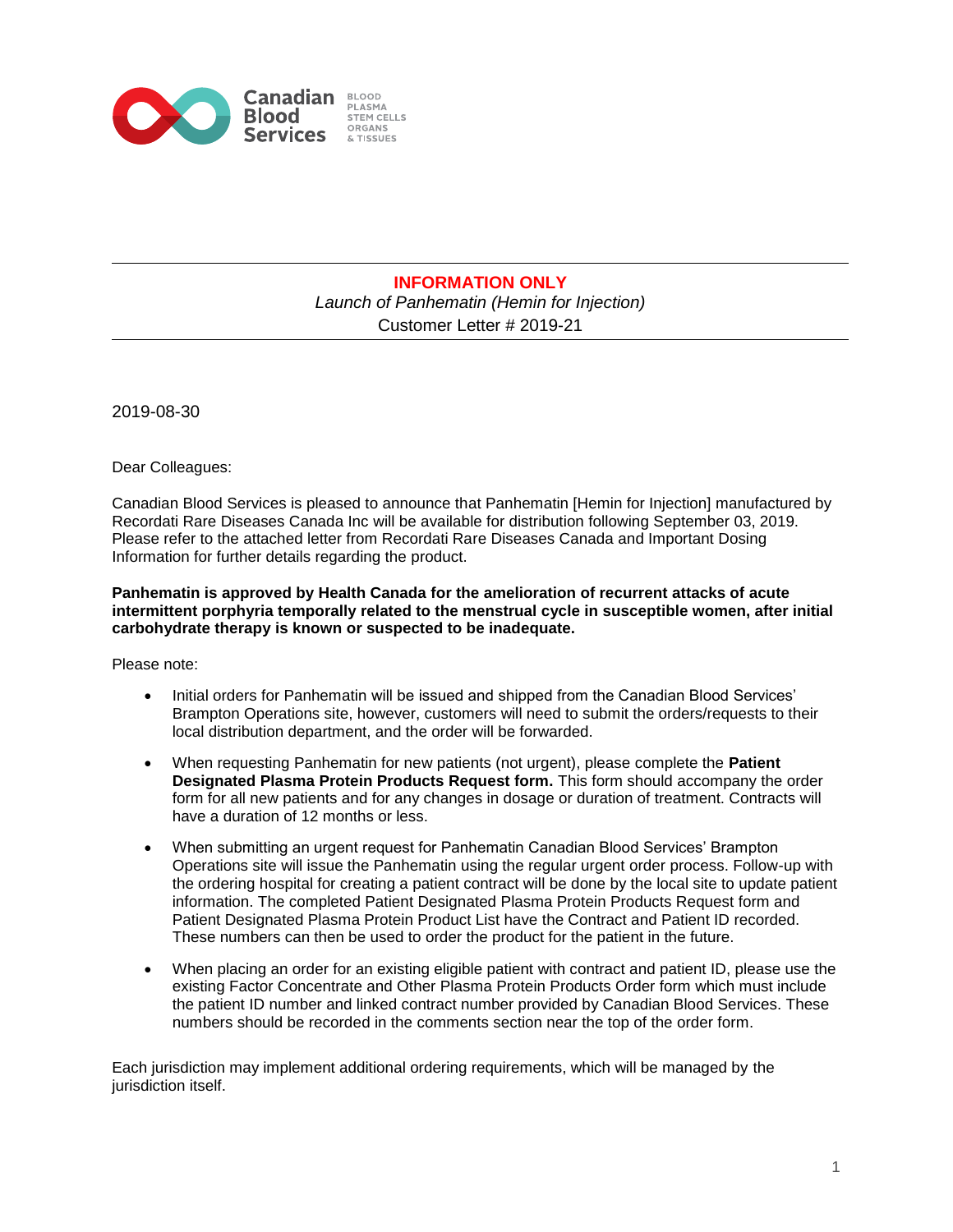

## **INFORMATION ONLY**  *Launch of Panhematin (Hemin for Injection)* Customer Letter # 2019-21

2019-08-30

Dear Colleagues:

Canadian Blood Services is pleased to announce that Panhematin [Hemin for Injection] manufactured by Recordati Rare Diseases Canada Inc will be available for distribution following September 03, 2019. Please refer to the attached letter from Recordati Rare Diseases Canada and Important Dosing Information for further details regarding the product.

## **Panhematin is approved by Health Canada for the amelioration of recurrent attacks of acute intermittent porphyria temporally related to the menstrual cycle in susceptible women, after initial carbohydrate therapy is known or suspected to be inadequate.**

Please note:

- Initial orders for Panhematin will be issued and shipped from the Canadian Blood Services' Brampton Operations site, however, customers will need to submit the orders/requests to their local distribution department, and the order will be forwarded.
- When requesting Panhematin for new patients (not urgent), please complete the **Patient Designated Plasma Protein Products Request form.** This form should accompany the order form for all new patients and for any changes in dosage or duration of treatment. Contracts will have a duration of 12 months or less.
- When submitting an urgent request for Panhematin Canadian Blood Services' Brampton Operations site will issue the Panhematin using the regular urgent order process. Follow-up with the ordering hospital for creating a patient contract will be done by the local site to update patient information. The completed Patient Designated Plasma Protein Products Request form and Patient Designated Plasma Protein Product List have the Contract and Patient ID recorded. These numbers can then be used to order the product for the patient in the future.
- When placing an order for an existing eligible patient with contract and patient ID, please use the existing Factor Concentrate and Other Plasma Protein Products Order form which must include the patient ID number and linked contract number provided by Canadian Blood Services. These numbers should be recorded in the comments section near the top of the order form.

Each jurisdiction may implement additional ordering requirements, which will be managed by the jurisdiction itself.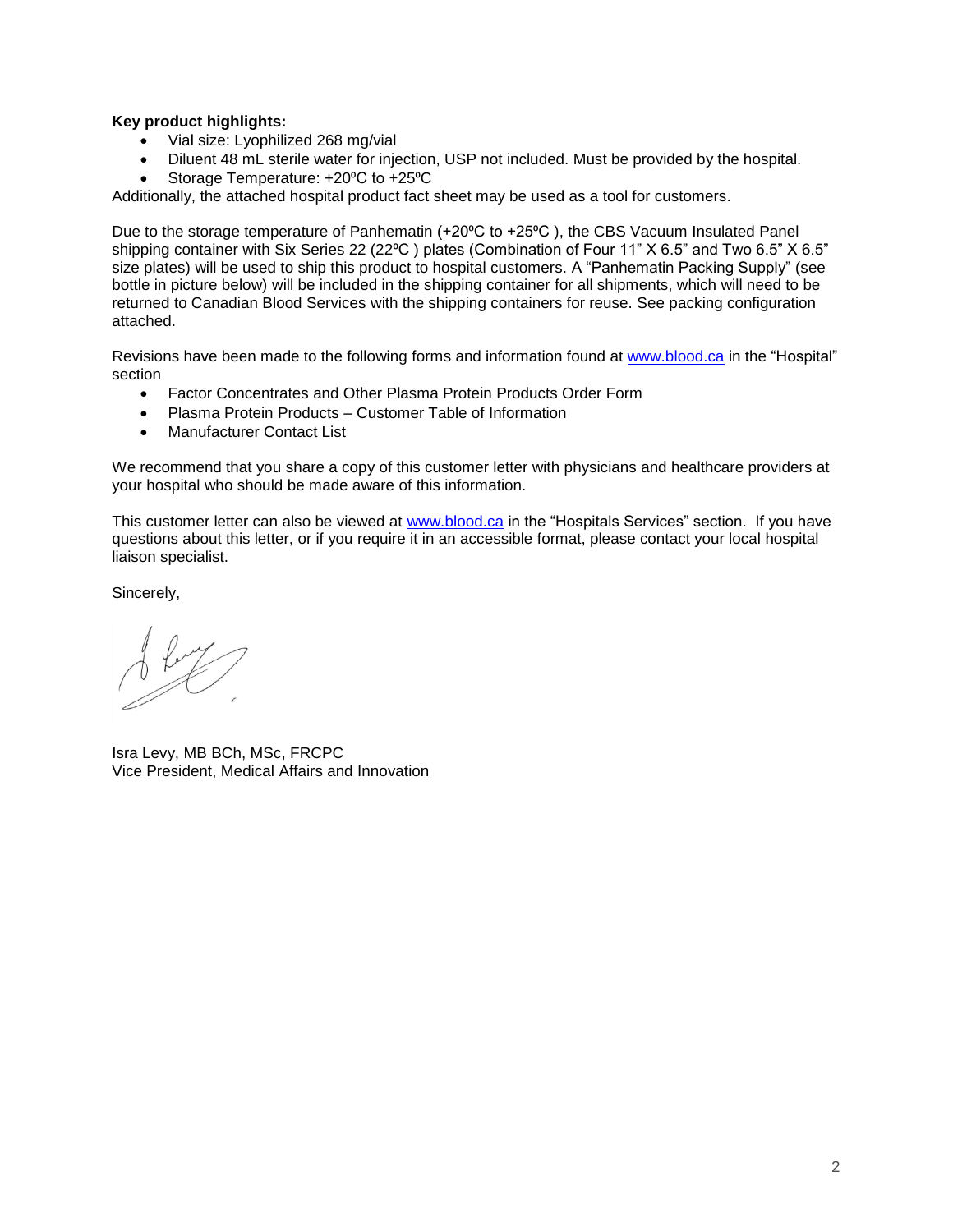## **Key product highlights:**

- Vial size: Lyophilized 268 mg/vial
- Diluent 48 mL sterile water for injection, USP not included. Must be provided by the hospital.
- Storage Temperature: +20°C to +25°C

Additionally, the attached hospital product fact sheet may be used as a tool for customers.

Due to the storage temperature of Panhematin (+20°C to +25°C), the CBS Vacuum Insulated Panel shipping container with Six Series 22 (22°C) plates (Combination of Four 11" X 6.5" and Two 6.5" X 6.5" size plates) will be used to ship this product to hospital customers. A "Panhematin Packing Supply" (see bottle in picture below) will be included in the shipping container for all shipments, which will need to be returned to Canadian Blood Services with the shipping containers for reuse. See packing configuration attached.

Revisions have been made to the following forms and information found at [www.blood.ca](http://www.blood.ca/) in the "Hospital" section

- Factor Concentrates and Other Plasma Protein Products Order Form
- Plasma Protein Products Customer Table of Information
- Manufacturer Contact List

We recommend that you share a copy of this customer letter with physicians and healthcare providers at your hospital who should be made aware of this information.

This customer letter can also be viewed at [www.blood.ca](http://www.blood.ca/) in the "Hospitals Services" section. If you have questions about this letter, or if you require it in an accessible format, please contact your local hospital liaison specialist.

Sincerely,

Isra Levy, MB BCh, MSc, FRCPC Vice President, Medical Affairs and Innovation